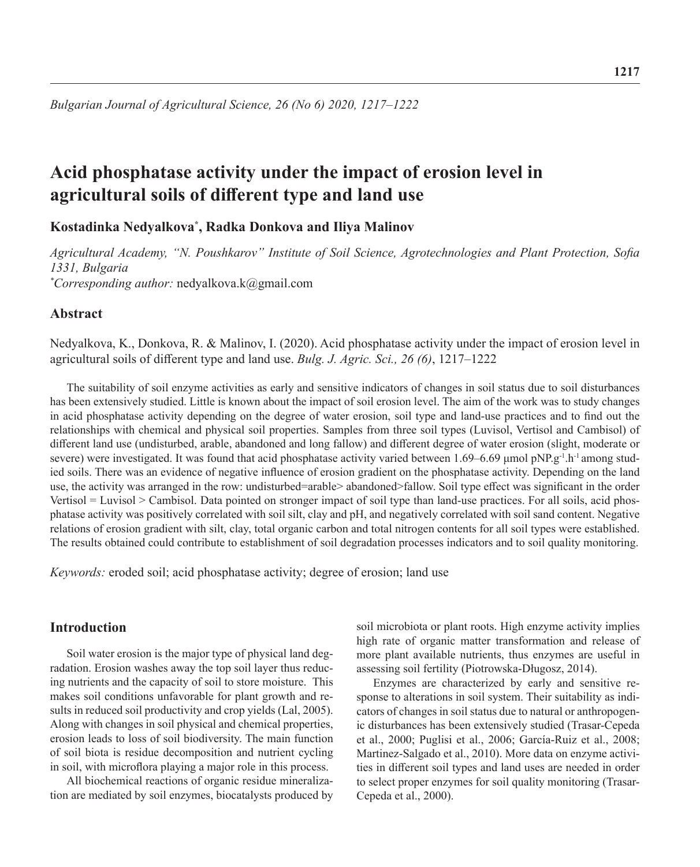# **Acid phosphatase activity under the impact of erosion level in agricultural soils of different type and land use**

**Kostadinka Nedyalkova\* , Radka Donkova and Iliya Malinov**

*Agricultural Academy, "N. Poushkarov" Institute of Soil Science, Agrotechnologies and Plant Protection, Sofia 1331, Bulgaria \* Corresponding author:* nedyalkova.k@gmail.com

# **Abstract**

Nedyalkova, K., Donkova, R. & Malinov, I. (2020). Acid phosphatase activity under the impact of erosion level in agricultural soils of different type and land use. *Bulg. J. Agric. Sci., 26 (6)*, 1217–1222

The suitability of soil enzyme activities as early and sensitive indicators of changes in soil status due to soil disturbances has been extensively studied. Little is known about the impact of soil erosion level. The aim of the work was to study changes in acid phosphatase activity depending on the degree of water erosion, soil type and land-use practices and to find out the relationships with chemical and physical soil properties. Samples from three soil types (Luvisol, Vertisol and Cambisol) of different land use (undisturbed, arable, abandoned and long fallow) and different degree of water erosion (slight, moderate or severe) were investigated. It was found that acid phosphatase activity varied between 1.69–6.69 µmol pNP.g<sup>-1</sup>.h<sup>-1</sup> among studied soils. There was an evidence of negative influence of erosion gradient on the phosphatase activity. Depending on the land use, the activity was arranged in the row: undisturbed=arable> abandoned>fallow. Soil type effect was significant in the order Vertisol = Luvisol > Cambisol. Data pointed on stronger impact of soil type than land-use practices. For all soils, acid phosphatase activity was positively correlated with soil silt, clay and pH, and negatively correlated with soil sand content. Negative relations of erosion gradient with silt, clay, total organic carbon and total nitrogen contents for all soil types were established. The results obtained could contribute to establishment of soil degradation processes indicators and to soil quality monitoring.

*Keywords:* eroded soil; acid phosphatase activity; degree of erosion; land use

# **Introduction**

Soil water erosion is the major type of physical land degradation. Erosion washes away the top soil layer thus reducing nutrients and the capacity of soil to store moisture. This makes soil conditions unfavorable for plant growth and results in reduced soil productivity and crop yields (Lal, 2005). Along with changes in soil physical and chemical properties, erosion leads to loss of soil biodiversity. The main function of soil biota is residue decomposition and nutrient cycling in soil, with microflora playing a major role in this process.

All biochemical reactions of organic residue mineralization are mediated by soil enzymes, biocatalysts produced by

soil microbiota or plant roots. High enzyme activity implies high rate of organic matter transformation and release of more plant available nutrients, thus enzymes are useful in assessing soil fertility (Piotrowska-Długosz, 2014).

Enzymes are characterized by early and sensitive response to alterations in soil system. Their suitability as indicators of changes in soil status due to natural or anthropogenic disturbances has been extensively studied (Trasar-Cepeda et al., 2000; Puglisi et al., 2006; García-Ruiz et al., 2008; Martinez-Salgado et al., 2010). More data on enzyme activities in different soil types and land uses are needed in order to select proper enzymes for soil quality monitoring (Trasar-Cepeda et al., 2000).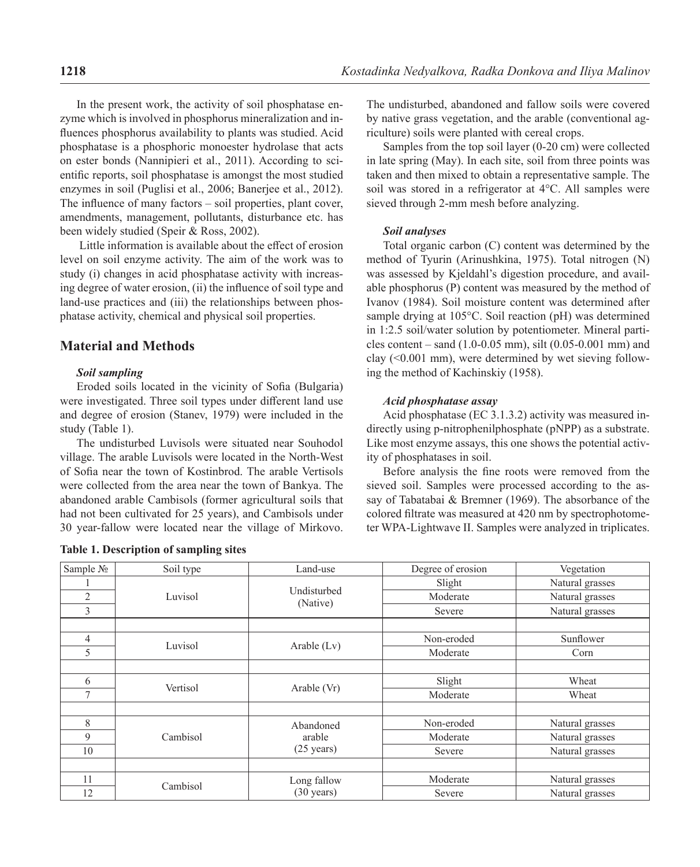In the present work, the activity of soil phosphatase enzyme which is involved in phosphorus mineralization and influences phosphorus availability to plants was studied. Acid phosphatase is a phosphoric monoester hydrolase that acts on ester bonds (Nannipieri et al., 2011). According to scientific reports, soil phosphatase is amongst the most studied enzymes in soil (Puglisi et al., 2006; Banerjee et al., 2012). The influence of many factors – soil properties, plant cover, amendments, management, pollutants, disturbance etc. has been widely studied (Speir & Ross, 2002).

 Little information is available about the effect of erosion level on soil enzyme activity. The aim of the work was to study (i) changes in acid phosphatase activity with increasing degree of water erosion, (ii) the influence of soil type and land-use practices and (iii) the relationships between phosphatase activity, chemical and physical soil properties.

# **Material and Methods**

#### *Soil sampling*

Eroded soils located in the vicinity of Sofia (Bulgaria) were investigated. Three soil types under different land use and degree of erosion (Stanev, 1979) were included in the study (Table 1).

The undisturbed Luvisols were situated near Souhodol village. The arable Luvisols were located in the North-West of Sofia near the town of Kostinbrod. The arable Vertisols were collected from the area near the town of Bankya. The abandoned arable Cambisols (former agricultural soils that had not been cultivated for 25 years), and Cambisols under 30 year-fallow were located near the village of Mirkovo.

|  |  |  |  | Table 1. Description of sampling sites |  |
|--|--|--|--|----------------------------------------|--|
|--|--|--|--|----------------------------------------|--|

The undisturbed, abandoned and fallow soils were covered by native grass vegetation, and the arable (conventional agriculture) soils were planted with cereal crops.

Samples from the top soil layer (0-20 cm) were collected in late spring (May). In each site, soil from three points was taken and then mixed to obtain a representative sample. The soil was stored in a refrigerator at 4°C. All samples were sieved through 2-mm mesh before analyzing.

#### *Soil analyses*

Total organic carbon (C) content was determined by the method of Tyurin (Arinushkina, 1975). Total nitrogen (N) was assessed by Kjeldahl's digestion procedure, and available phosphorus (P) content was measured by the method of Ivanov (1984). Soil moisture content was determined after sample drying at 105°C. Soil reaction (pH) was determined in 1:2.5 soil/water solution by potentiometer. Mineral particles content – sand (1.0-0.05 mm), silt (0.05-0.001 mm) and clay (<0.001 mm), were determined by wet sieving following the method of Kachinskiy (1958).

#### *Аcid phosphatase assay*

Acid phosphatase (EC 3.1.3.2) activity was measured indirectly using p-nitrophenilphosphate (pNPP) as a substrate. Like most enzyme assays, this one shows the potential activity of phosphatases in soil.

Before analysis the fine roots were removed from the sieved soil. Samples were processed according to the assay of Tabatabai & Bremner (1969). The absorbance of the colored filtrate was measured at 420 nm by spectrophotometer WPA-Lightwave II. Samples were analyzed in triplicates.

| Sample No      | Soil type | Land-use                | Degree of erosion | Vegetation      |  |
|----------------|-----------|-------------------------|-------------------|-----------------|--|
|                |           |                         | Slight            | Natural grasses |  |
| $\overline{2}$ | Luvisol   | Undisturbed<br>(Native) | Moderate          | Natural grasses |  |
| 3              |           |                         | Severe            | Natural grasses |  |
|                |           |                         |                   |                 |  |
| 4              | Luvisol   |                         | Non-eroded        | Sunflower       |  |
| 5              |           | Arable $(Lv)$           | Moderate          | Corn            |  |
|                |           |                         |                   |                 |  |
| 6              | Vertisol  |                         | Slight            | Wheat           |  |
| $\overline{7}$ |           | Arable (Vr)             | Moderate          | Wheat           |  |
|                |           |                         |                   |                 |  |
| 8              |           | Abandoned               | Non-eroded        | Natural grasses |  |
| 9              | Cambisol  | arable                  | Moderate          | Natural grasses |  |
| 10             |           | $(25 \text{ years})$    | Severe            | Natural grasses |  |
|                |           |                         |                   |                 |  |
| 11             | Cambisol  | Long fallow             | Moderate          | Natural grasses |  |
| 12             |           | $(30 \text{ years})$    | Severe            | Natural grasses |  |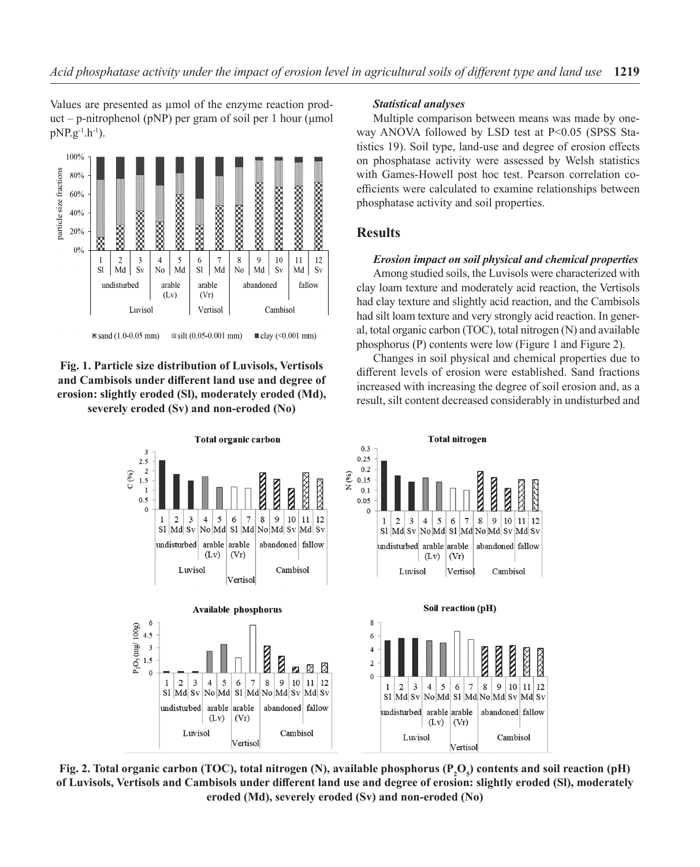Values are presented as  $\mu$ mol of the enzyme reaction product – p-nitrophenol (pNP) per gram of soil per 1 hour (μmol  $pNP.g^{-1}.h^{-1}$ ).



# **Fig. 1. Particle size distribution of Luvisols, Vertisols and Cambisols under different land use and degree of erosion: slightly eroded (Sl), moderately eroded (Md), severely eroded (Sv) and non-eroded (No)**

#### *Statistical analyses*

Multiple comparison between means was made by oneway ANOVA followed by LSD test at P<0.05 (SPSS Statistics 19). Soil type, land-use and degree of erosion effects on phosphatase activity were assessed by Welsh statistics with Games-Howell post hoc test. Pearson correlation coefficients were calculated to examine relationships between phosphatase activity and soil properties.

# **Results**

### *Erosion impact on soil physical and chemical properties*

Among studied soils, the Luvisols were characterized with clay loam texture and moderately acid reaction, the Vertisols had clay texture and slightly acid reaction, and the Cambisols had silt loam texture and very strongly acid reaction. In general, total organic carbon (TOC), total nitrogen (N) and available phosphorus (P) contents were low (Figure 1 and Figure 2).

Changes in soil physical and chemical properties due to different levels of erosion were established. Sand fractions increased with increasing the degree of soil erosion and, as a result, silt content decreased considerably in undisturbed and



Fig. 2. Total organic carbon (TOC), total nitrogen (N), available phosphorus (P<sub>2</sub>O<sub>5</sub>) contents and soil reaction (pH) **of Luvisols, Vertisols and Cambisols under different land use and degree of erosion: slightly eroded (Sl), moderately eroded (Md), severely eroded (Sv) and non-eroded (No)**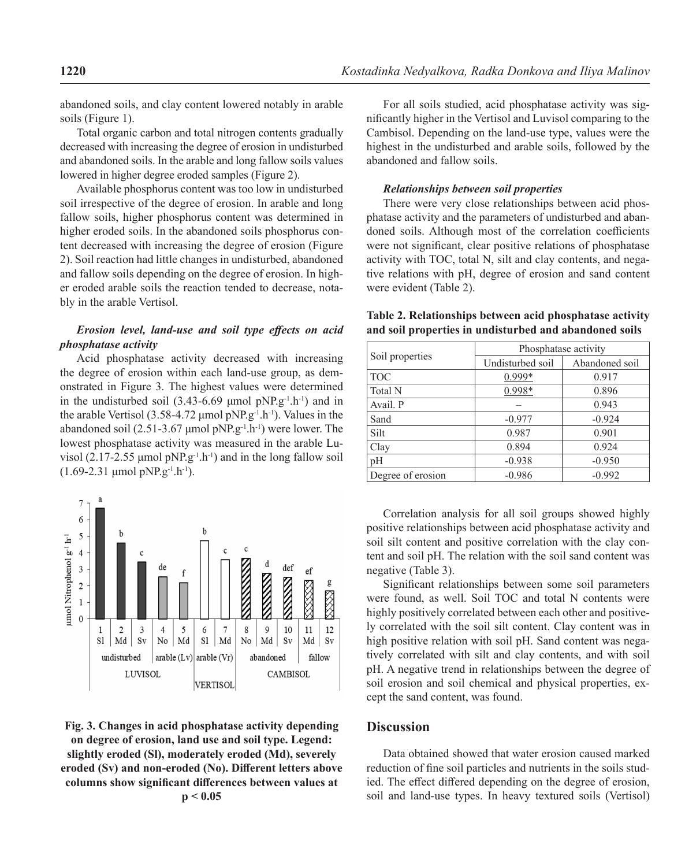abandoned soils, and clay content lowered notably in arable soils (Figure 1).

Total organic carbon and total nitrogen contents gradually decreased with increasing the degree of erosion in undisturbed and abandoned soils. In the arable and long fallow soils values lowered in higher degree eroded samples (Figure 2).

Available phosphorus content was too low in undisturbed soil irrespective of the degree of erosion. In arable and long fallow soils, higher phosphorus content was determined in higher eroded soils. In the abandoned soils phosphorus content decreased with increasing the degree of erosion (Figure 2). Soil reaction had little changes in undisturbed, abandoned and fallow soils depending on the degree of erosion. In higher eroded arable soils the reaction tended to decrease, notably in the arable Vertisol.

### *Erosion level, land-use and soil type effects on acid phosphatase activity*

Acid phosphatase activity decreased with increasing the degree of erosion within each land-use group, as demonstrated in Figure 3. The highest values were determined in the undisturbed soil  $(3.43-6.69 \text{ \mu mol pNP}.g^{-1}.h^{-1})$  and in the arable Vertisol (3.58-4.72  $\mu$ mol pNP.g<sup>-1</sup>.h<sup>-1</sup>). Values in the abandoned soil (2.51-3.67 µmol pNP.g<sup>-1</sup>.h<sup>-1</sup>) were lower. The lowest phosphatase activity was measured in the arable Luvisol (2.17-2.55  $\mu$ mol pNP.g<sup>-1</sup>.h<sup>-1</sup>) and in the long fallow soil  $(1.69-2.31 \mu \text{mol pNP}.g^{-1}.h^{-1}).$ 



**Fig. 3. Changes in acid phosphatase activity depending on degree of erosion, land use and soil type. Legend: slightly eroded (Sl), moderately eroded (Md), severely eroded (Sv) and non-eroded (No). Different letters above columns show significant differences between values at p < 0.05**

For all soils studied, acid phosphatase activity was significantly higher in the Vertisol and Luvisol comparing to the Cambisol. Depending on the land-use type, values were the highest in the undisturbed and arable soils, followed by the abandoned and fallow soils.

#### *Relationships between soil properties*

There were very close relationships between acid phosphatase activity and the parameters of undisturbed and abandoned soils. Although most of the correlation coefficients were not significant, clear positive relations of phosphatase activity with TOC, total N, silt and clay contents, and negative relations with pH, degree of erosion and sand content were evident (Table 2).

| Soil properties   | Phosphatase activity |                |  |  |  |
|-------------------|----------------------|----------------|--|--|--|
|                   | Undisturbed soil     | Abandoned soil |  |  |  |
| <b>TOC</b>        | 0.999*               | 0.917          |  |  |  |
| Total N           | 0.998*               | 0.896          |  |  |  |
| Avail. P          |                      | 0.943          |  |  |  |
| Sand              | $-0.977$             | $-0.924$       |  |  |  |
| Silt              | 0.987                | 0.901          |  |  |  |
| Clay              | 0.894                | 0.924          |  |  |  |
| pH                | $-0.938$             | $-0.950$       |  |  |  |
| Degree of erosion | $-0.986$             | $-0.992$       |  |  |  |

#### **Table 2. Relationships between acid phosphatase activity and soil properties in undisturbed and abandoned soils**

Correlation analysis for all soil groups showed highly positive relationships between acid phosphatase activity and soil silt content and positive correlation with the clay content and soil pH. The relation with the soil sand content was negative (Table 3).

Significant relationships between some soil parameters were found, as well. Soil TOC and total N contents were highly positively correlated between each other and positively correlated with the soil silt content. Clay content was in high positive relation with soil pH. Sand content was negatively correlated with silt and clay contents, and with soil pH. A negative trend in relationships between the degree of soil erosion and soil chemical and physical properties, except the sand content, was found.

### **Discussion**

Data obtained showed that water erosion caused marked reduction of fine soil particles and nutrients in the soils studied. The effect differed depending on the degree of erosion, soil and land-use types. In heavy textured soils (Vertisol)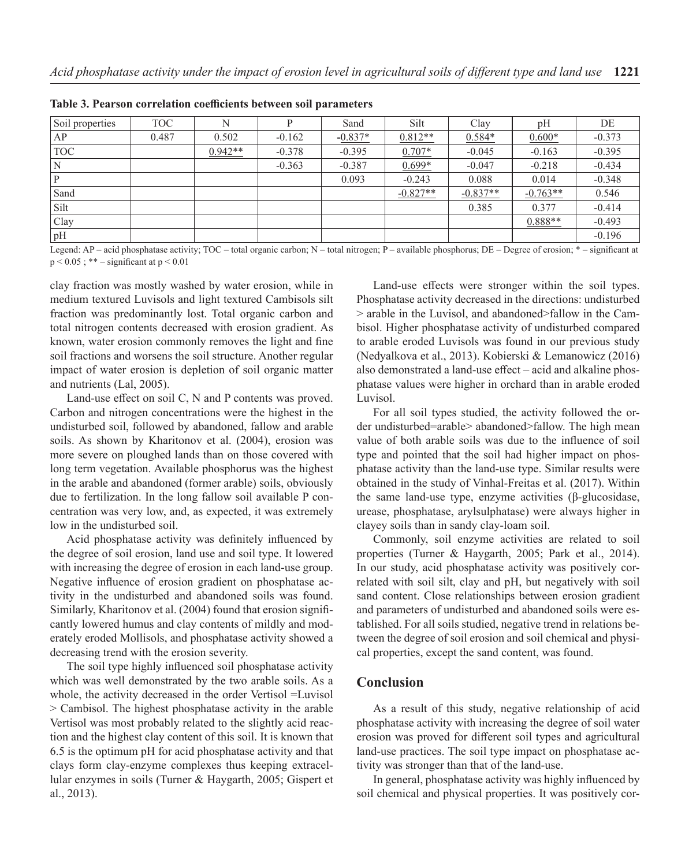| Soil properties | <b>TOC</b> | N         | P        | Sand      | Silt       | Clay       | pH         | DE       |
|-----------------|------------|-----------|----------|-----------|------------|------------|------------|----------|
| AP              | 0.487      | 0.502     | $-0.162$ | $-0.837*$ | $0.812**$  | $0.584*$   | $0.600*$   | $-0.373$ |
| <b>TOC</b>      |            | $0.942**$ | $-0.378$ | $-0.395$  | $0.707*$   | $-0.045$   | $-0.163$   | $-0.395$ |
|                 |            |           | $-0.363$ | $-0.387$  | $0.699*$   | $-0.047$   | $-0.218$   | $-0.434$ |
|                 |            |           |          | 0.093     | $-0.243$   | 0.088      | 0.014      | $-0.348$ |
| Sand            |            |           |          |           | $-0.827**$ | $-0.837**$ | $-0.763**$ | 0.546    |
| Silt            |            |           |          |           |            | 0.385      | 0.377      | $-0.414$ |
| Clay            |            |           |          |           |            |            | $0.888**$  | $-0.493$ |
| pH              |            |           |          |           |            |            |            | $-0.196$ |

**Table 3. Pearson correlation coefficients between soil parameters**

Legend: AP – acid phosphatase activity; TOC – total organic carbon; N – total nitrogen; P – available phosphorus; DE – Degree of erosion; \* – significant at  $p < 0.05$ ; \*\* – significant at  $p < 0.01$ 

clay fraction was mostly washed by water erosion, while in medium textured Luvisols and light textured Cambisols silt fraction was predominantly lost. Total organic carbon and total nitrogen contents decreased with erosion gradient. As known, water erosion commonly removes the light and fine soil fractions and worsens the soil structure. Another regular impact of water erosion is depletion of soil organic matter and nutrients (Lal, 2005).

Land-use effect on soil C, N and P contents was proved. Carbon and nitrogen concentrations were the highest in the undisturbed soil, followed by abandoned, fallow and arable soils. As shown by Kharitonov et al. (2004), erosion was more severe on ploughed lands than on those covered with long term vegetation. Available phosphorus was the highest in the arable and abandoned (former arable) soils, obviously due to fertilization. In the long fallow soil available P concentration was very low, and, as expected, it was extremely low in the undisturbed soil.

Acid phosphatase activity was definitely influenced by the degree of soil erosion, land use and soil type. It lowered with increasing the degree of erosion in each land-use group. Negative influence of erosion gradient on phosphatase activity in the undisturbed and abandoned soils was found. Similarly, Kharitonov et al. (2004) found that erosion significantly lowered humus and clay contents of mildly and moderately eroded Mollisols, and phosphatase activity showed a decreasing trend with the erosion severity.

The soil type highly influenced soil phosphatase activity which was well demonstrated by the two arable soils. As a whole, the activity decreased in the order Vertisol =Luvisol > Cambisol. The highest phosphatase activity in the arable Vertisol was most probably related to the slightly acid reaction and the highest clay content of this soil. It is known that 6.5 is the optimum pH for acid phosphatase activity and that clays form clay-enzyme complexes thus keeping extracellular enzymes in soils (Turner & Haygarth, 2005; Gispert et al., 2013).

Land-use effects were stronger within the soil types. Phosphatase activity decreased in the directions: undisturbed > arable in the Luvisol, and abandoned>fallow in the Cambisol. Higher phosphatase activity of undisturbed compared to arable eroded Luvisols was found in our previous study (Nedyalkova et al., 2013). Kobierski & Lemanowicz (2016) also demonstrated a land-use effect – acid and alkaline phosphatase values were higher in orchard than in arable eroded Luvisol.

For all soil types studied, the activity followed the order undisturbed=arable> abandoned>fallow. The high mean value of both arable soils was due to the influence of soil type and pointed that the soil had higher impact on phosphatase activity than the land-use type. Similar results were obtained in the study of Vinhal-Freitas et al. (2017). Within the same land-use type, enzyme activities (β-glucosidase, urease, phosphatase, arylsulphatase) were always higher in clayey soils than in sandy clay-loam soil.

Commonly, soil enzyme activities are related to soil properties (Turner & Haygarth, 2005; Park et al., 2014). In our study, acid phosphatase activity was positively correlated with soil silt, clay and pH, but negatively with soil sand content. Close relationships between erosion gradient and parameters of undisturbed and abandoned soils were established. For all soils studied, negative trend in relations between the degree of soil erosion and soil chemical and physical properties, except the sand content, was found.

## **Conclusion**

As a result of this study, negative relationship of acid phosphatase activity with increasing the degree of soil water erosion was proved for different soil types and agricultural land-use practices. The soil type impact on phosphatase activity was stronger than that of the land-use.

In general, phosphatase activity was highly influenced by soil chemical and physical properties. It was positively cor